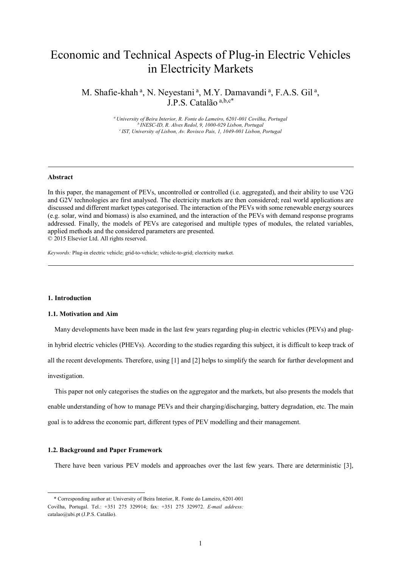# Economic and Technical Aspects of Plug-in Electric Vehicles in Electricity Markets

M. Shafie-khah<sup>a</sup>, N. Neyestani<sup>a</sup>, M.Y. Damavandi<sup>a</sup>, F.A.S. Gil<sup>a</sup>, J.P.S. Catalão a,b,c\*

> *<sup>a</sup>University of Beira Interior, R. Fonte do Lameiro, 6201-001 Covilha, Portugal <sup>b</sup>INESC-ID, R. Alves Redol, 9, 1000-029 Lisbon, Portugal <sup>c</sup>IST, University of Lisbon, Av. Rovisco Pais, 1, 1049-001 Lisbon, Portugal*

#### **Abstract**

In this paper, the management of PEVs, uncontrolled or controlled (i.e. aggregated), and their ability to use V2G and G2V technologies are first analysed. The electricity markets are then considered; real world applications are discussed and different market types categorised. The interaction of the PEVs with some renewable energy sources (e.g. solar, wind and biomass) is also examined, and the interaction of the PEVs with demand response programs addressed. Finally, the models of PEVs are categorised and multiple types of modules, the related variables, applied methods and the considered parameters are presented. © 2015 Elsevier Ltd. All rights reserved.

*Keywords:* Plug-in electric vehicle; grid-to-vehicle; vehicle-to-grid; electricity market.

### **1. Introduction**

## **1.1. Motivation and Aim**

Many developments have been made in the last few years regarding plug-in electric vehicles (PEVs) and plug-

in hybrid electric vehicles (PHEVs). According to the studies regarding this subject, it is difficult to keep track of

all the recent developments. Therefore, using [1] and [2] helps to simplify the search for further development and

investigation.

-

This paper not only categorises the studies on the aggregator and the markets, but also presents the models that enable understanding of how to manage PEVs and their charging/discharging, battery degradation, etc. The main goal is to address the economic part, different types of PEV modelling and their management.

#### **1.2. Background and Paper Framework**

There have been various PEV models and approaches over the last few years. There are deterministic [3],

<sup>\*</sup> Corresponding author at: University of Beira Interior, R. Fonte do Lameiro, 6201-001 Covilha, Portugal. Tel.: +351 275 329914; fax: +351 275 329972. *E-mail address:*  [catalao@ubi.pt](mailto:catalao@ubi.pt) (J.P.S. Catalão).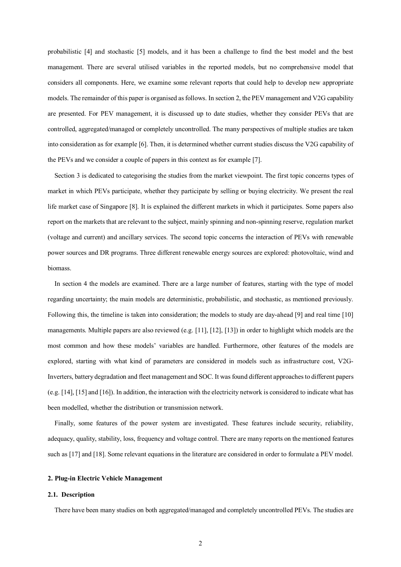probabilistic [4] and stochastic [5] models, and it has been a challenge to find the best model and the best management. There are several utilised variables in the reported models, but no comprehensive model that considers all components. Here, we examine some relevant reports that could help to develop new appropriate models. The remainder of this paper is organised as follows. In section 2, the PEV management and V2G capability are presented. For PEV management, it is discussed up to date studies, whether they consider PEVs that are controlled, aggregated/managed or completely uncontrolled. The many perspectives of multiple studies are taken into consideration as for example [6]. Then, it is determined whether current studies discuss the V2G capability of the PEVs and we consider a couple of papers in this context as for example [7].

Section 3 is dedicated to categorising the studies from the market viewpoint. The first topic concerns types of market in which PEVs participate, whether they participate by selling or buying electricity. We present the real life market case of Singapore [8]. It is explained the different markets in which it participates. Some papers also report on the markets that are relevant to the subject, mainly spinning and non-spinning reserve, regulation market (voltage and current) and ancillary services. The second topic concerns the interaction of PEVs with renewable power sources and DR programs. Three different renewable energy sources are explored: photovoltaic, wind and biomass.

In section 4 the models are examined. There are a large number of features, starting with the type of model regarding uncertainty; the main models are deterministic, probabilistic, and stochastic, as mentioned previously. Following this, the timeline is taken into consideration; the models to study are day-ahead [9] and real time [10] managements. Multiple papers are also reviewed (e.g. [11], [12], [13]) in order to highlight which models are the most common and how these models' variables are handled. Furthermore, other features of the models are explored, starting with what kind of parameters are considered in models such as infrastructure cost, V2G-Inverters, battery degradation and fleet management and SOC. It was found different approaches to different papers (e.g. [14], [15] and [16]). In addition, the interaction with the electricity network is considered to indicate what has been modelled, whether the distribution or transmission network.

Finally, some features of the power system are investigated. These features include security, reliability, adequacy, quality, stability, loss, frequency and voltage control. There are many reports on the mentioned features such as [17] and [18]. Some relevant equations in the literature are considered in order to formulate a PEV model.

#### **2. Plug-in Electric Vehicle Management**

#### **2.1. Description**

There have been many studies on both aggregated/managed and completely uncontrolled PEVs. The studies are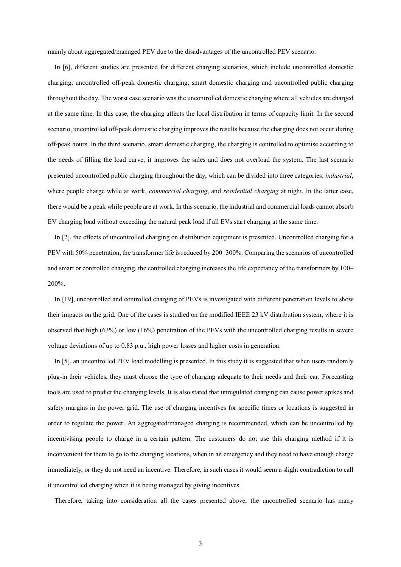mainly about aggregated/managed PEV due to the disadvantages of the uncontrolled PEV scenario.

In [6], different studies are presented for different charging scenarios, which include uncontrolled domestic charging, uncontrolled off-peak domestic charging, smart domestic charging and uncontrolled public charging throughout the day. The worst case scenario was the uncontrolled domestic charging where all vehicles are charged at the same time. In this case, the charging affects the local distribution in terms of capacity limit. In the second scenario, uncontrolled off-peak domestic charging improves the results because the charging does not occur during off-peak hours. In the third scenario, smart domestic charging, the charging is controlled to optimise according to the needs of filling the load curve, it improves the sales and does not overload the system. The last scenario presented uncontrolled public charging throughout the day, which can be divided into three categories: *industrial*, where people charge while at work, *commercial charging*, and *residential charging* at night. In the latter case, there would be a peak while people are at work. In this scenario, the industrial and commercial loads cannot absorb EV charging load without exceeding the natural peak load if all EVs start charging at the same time.

In [2], the effects of uncontrolled charging on distribution equipment is presented. Uncontrolled charging for a PEV with 50% penetration, the transformer life is reduced by 200–300%. Comparing the scenarios of uncontrolled and smart or controlled charging, the controlled charging increases the life expectancy of the transformers by 100– 200%.

In [19], uncontrolled and controlled charging of PEVs is investigated with different penetration levels to show their impacts on the grid. One of the cases is studied on the modified IEEE 23 kV distribution system, where it is observed that high (63%) or low (16%) penetration of the PEVs with the uncontrolled charging results in severe voltage deviations of up to 0.83 p.u., high power losses and higher costs in generation.

In [5], an uncontrolled PEV load modelling is presented. In this study it is suggested that when users randomly plug-in their vehicles, they must choose the type of charging adequate to their needs and their car. Forecasting tools are used to predict the charging levels. It is also stated that unregulated charging can cause power spikes and safety margins in the power grid. The use of charging incentives for specific times or locations is suggested in order to regulate the power. An aggregated/managed charging is recommended, which can be uncontrolled by incentivising people to charge in a certain pattern. The customers do not use this charging method if it is inconvenient for them to go to the charging locations, when in an emergency and they need to have enough charge immediately, or they do not need an incentive. Therefore, in such cases it would seem a slight contradiction to call it uncontrolled charging when it is being managed by giving incentives.

Therefore, taking into consideration all the cases presented above, the uncontrolled scenario has many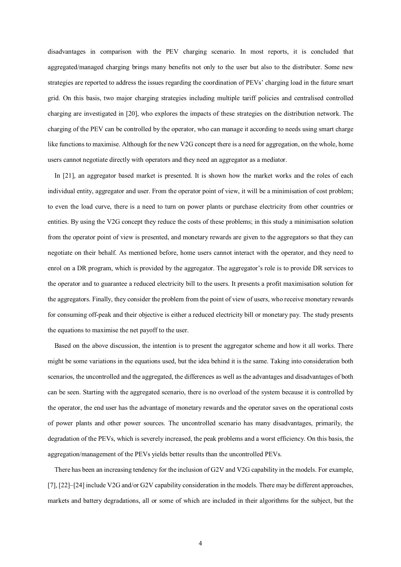disadvantages in comparison with the PEV charging scenario. In most reports, it is concluded that aggregated/managed charging brings many benefits not only to the user but also to the distributer. Some new strategies are reported to address the issues regarding the coordination of PEVs' charging load in the future smart grid. On this basis, two major charging strategies including multiple tariff policies and centralised controlled charging are investigated in [20], who explores the impacts of these strategies on the distribution network. The charging of the PEV can be controlled by the operator, who can manage it according to needs using smart charge like functions to maximise. Although for the new V2G concept there is a need for aggregation, on the whole, home users cannot negotiate directly with operators and they need an aggregator as a mediator.

In [21], an aggregator based market is presented. It is shown how the market works and the roles of each individual entity, aggregator and user. From the operator point of view, it will be a minimisation of cost problem; to even the load curve, there is a need to turn on power plants or purchase electricity from other countries or entities. By using the V2G concept they reduce the costs of these problems; in this study a minimisation solution from the operator point of view is presented, and monetary rewards are given to the aggregators so that they can negotiate on their behalf. As mentioned before, home users cannot interact with the operator, and they need to enrol on a DR program, which is provided by the aggregator. The aggregator's role is to provide DR services to the operator and to guarantee a reduced electricity bill to the users. It presents a profit maximisation solution for the aggregators. Finally, they consider the problem from the point of view of users, who receive monetary rewards for consuming off-peak and their objective is either a reduced electricity bill or monetary pay. The study presents the equations to maximise the net payoff to the user.

Based on the above discussion, the intention is to present the aggregator scheme and how it all works. There might be some variations in the equations used, but the idea behind it is the same. Taking into consideration both scenarios, the uncontrolled and the aggregated, the differences as well as the advantages and disadvantages of both can be seen. Starting with the aggregated scenario, there is no overload of the system because it is controlled by the operator, the end user has the advantage of monetary rewards and the operator saves on the operational costs of power plants and other power sources. The uncontrolled scenario has many disadvantages, primarily, the degradation of the PEVs, which is severely increased, the peak problems and a worst efficiency. On this basis, the aggregation/management of the PEVs yields better results than the uncontrolled PEVs.

There has been an increasing tendency for the inclusion of G2V and V2G capability in the models. For example, [7], [22]–[24] include V2G and/or G2V capability consideration in the models. There may be different approaches, markets and battery degradations, all or some of which are included in their algorithms for the subject, but the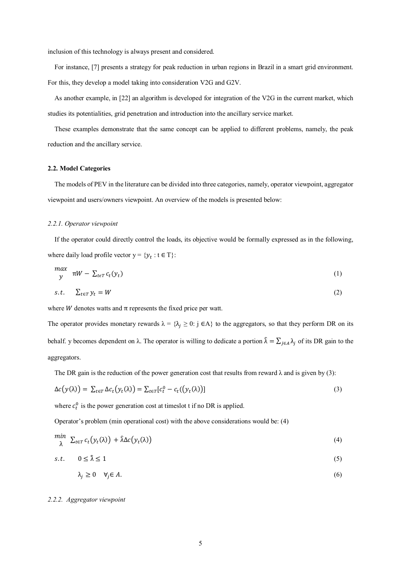inclusion of this technology is always present and considered.

For instance, [7] presents a strategy for peak reduction in urban regions in Brazil in a smart grid environment. For this, they develop a model taking into consideration V2G and G2V.

As another example, in [22] an algorithm is developed for integration of the V2G in the current market, which studies its potentialities, grid penetration and introduction into the ancillary service market.

These examples demonstrate that the same concept can be applied to different problems, namely, the peak reduction and the ancillary service.

# **2.2. Model Categories**

The models of PEV in the literature can be divided into three categories, namely, operator viewpoint, aggregator viewpoint and users/owners viewpoint. An overview of the models is presented below:

#### *2.2.1. Operator viewpoint*

If the operator could directly control the loads, its objective would be formally expressed as in the following, where daily load profile vector  $y = \{y_t : t \in T\}$ :

$$
\begin{array}{ll} \n\max \quad & \text{if } W - \sum_{t \in T} c_t(y_t) \n\end{array} \tag{1}
$$

$$
s.t. \quad \sum_{t \in T} y_t = W \tag{2}
$$

where  $W$  denotes watts and  $\pi$  represents the fixed price per watt.

The operator provides monetary rewards  $\lambda = {\lambda_j \ge 0$ : j ∈A} to the aggregators, so that they perform DR on its behalf. y becomes dependent on  $\lambda$ . The operator is willing to dedicate a portion  $\hat{\lambda} = \sum_{j \in A} \lambda_j$  of its DR gain to the aggregators.

The DR gain is the reduction of the power generation cost that results from reward  $\lambda$  and is given by (3):

$$
\Delta c(y(\lambda)) = \sum_{t \in T} \Delta c_t(y_t(\lambda)) = \sum_{t \in T} [c_t^0 - c_t((y_t(\lambda)))] \tag{3}
$$

where  $c_t^0$  is the power generation cost at timeslot t if no DR is applied.

Operator's problem (min operational cost) with the above considerations would be: (4)

$$
\min_{\lambda} \ \Sigma_{t \in T} c_t(y_t(\lambda)) + \hat{\lambda} \Delta c(y_t(\lambda)) \tag{4}
$$

$$
s.t. \quad 0 \le \hat{\lambda} \le 1 \tag{5}
$$

$$
\lambda_j \ge 0 \quad \forall j \in A. \tag{6}
$$

#### *2.2.2. Aggregator viewpoint*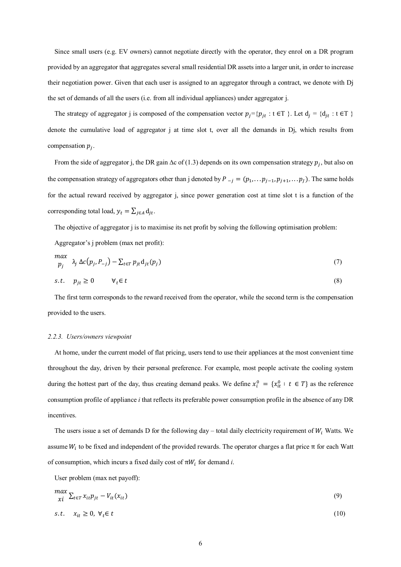Since small users (e.g. EV owners) cannot negotiate directly with the operator, they enrol on a DR program provided by an aggregator that aggregates several small residential DR assets into a larger unit, in order to increase their negotiation power. Given that each user is assigned to an aggregator through a contract, we denote with Dj the set of demands of all the users (i.e. from all individual appliances) under aggregator j.

The strategy of aggregator j is composed of the compensation vector  $p_j = \{p_{jt} : t \in T\}$ . Let  $d_j = \{d_{jt} : t \in T\}$ denote the cumulative load of aggregator j at time slot t, over all the demands in Dj, which results from compensation  $p_j$ .

From the side of aggregator j, the DR gain ∆c of (1.3) depends on its own compensation strategy  $p_j$ , but also on the compensation strategy of aggregators other than j denoted by  $P_{-j} = (p_1, \dots p_{j-1}, p_{j+1}, \dots p_J)$ . The same holds for the actual reward received by aggregator j, since power generation cost at time slot t is a function of the corresponding total load,  $y_t = \sum_{j \in A} d_{jt}$ .

The objective of aggregator j is to maximise its net profit by solving the following optimisation problem:

Aggregator's j problem (max net profit):

$$
\begin{aligned}\n\max_{p_j} \quad & \lambda_j \, \Delta c(p_j, P_{-j}) - \sum_{t \in T} p_{jt} \mathbf{d}_{jt}(p_j)\n\end{aligned} \tag{7}
$$

$$
s.t. \quad p_{jt} \ge 0 \qquad \forall_t \in t \tag{8}
$$

The first term corresponds to the reward received from the operator, while the second term is the compensation provided to the users.

#### *2.2.3. Users/owners viewpoint*

At home, under the current model of flat pricing, users tend to use their appliances at the most convenient time throughout the day, driven by their personal preference. For example, most people activate the cooling system during the hottest part of the day, thus creating demand peaks. We define  $x_i^0 = \{x_{it}^0 : t \in T\}$  as the reference consumption profile of appliance *i* that reflects its preferable power consumption profile in the absence of any DR incentives.

The users issue a set of demands D for the following day – total daily electricity requirement of  $W_i$  Watts. We assume  $W_i$  to be fixed and independent of the provided rewards. The operator charges a flat price  $\pi$  for each Watt of consumption, which incurs a fixed daily cost of  $\pi W_i$  for demand *i*.

User problem (max net payoff):

$$
\max_{\chi i} \sum_{t \in T} x_{it} p_{jt} - V_{it}(x_{it}) \tag{9}
$$

$$
s.t. \quad x_{it} \ge 0, \ \forall_t \in t \tag{10}
$$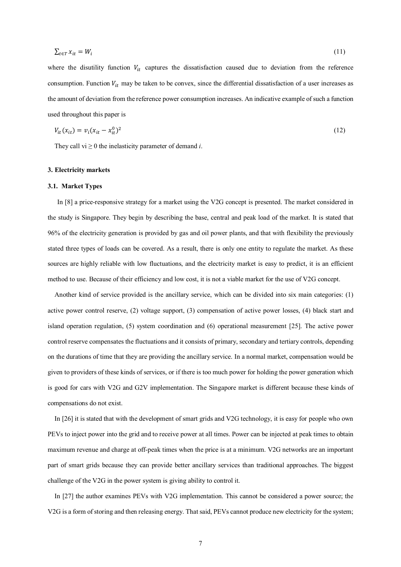$$
\sum_{t \in T} x_{it} = W_i \tag{11}
$$

where the disutility function  $V_{it}$  captures the dissatisfaction caused due to deviation from the reference consumption. Function  $V_{it}$  may be taken to be convex, since the differential dissatisfaction of a user increases as the amount of deviation from the reference power consumption increases. An indicative example of such a function used throughout this paper is

$$
V_{it}(x_{it}) = v_i (x_{it} - x_{it}^0)^2
$$
 (12)

They call  $vi \geq 0$  the inelasticity parameter of demand *i*.

#### **3. Electricity markets**

#### **3.1. Market Types**

In [8] a price-responsive strategy for a market using the V2G concept is presented. The market considered in the study is Singapore. They begin by describing the base, central and peak load of the market. It is stated that 96% of the electricity generation is provided by gas and oil power plants, and that with flexibility the previously stated three types of loads can be covered. As a result, there is only one entity to regulate the market. As these sources are highly reliable with low fluctuations, and the electricity market is easy to predict, it is an efficient method to use. Because of their efficiency and low cost, it is not a viable market for the use of V2G concept.

Another kind of service provided is the ancillary service, which can be divided into six main categories: (1) active power control reserve, (2) voltage support, (3) compensation of active power losses, (4) black start and island operation regulation, (5) system coordination and (6) operational measurement [25]. The active power control reserve compensates the fluctuations and it consists of primary, secondary and tertiary controls, depending on the durations of time that they are providing the ancillary service. In a normal market, compensation would be given to providers of these kinds of services, or if there is too much power for holding the power generation which is good for cars with V2G and G2V implementation. The Singapore market is different because these kinds of compensations do not exist.

In [26] it is stated that with the development of smart grids and V2G technology, it is easy for people who own PEVs to inject power into the grid and to receive power at all times. Power can be injected at peak times to obtain maximum revenue and charge at off-peak times when the price is at a minimum. V2G networks are an important part of smart grids because they can provide better ancillary services than traditional approaches. The biggest challenge of the V2G in the power system is giving ability to control it.

In [27] the author examines PEVs with V2G implementation. This cannot be considered a power source; the V2G is a form of storing and then releasing energy. That said, PEVs cannot produce new electricity for the system;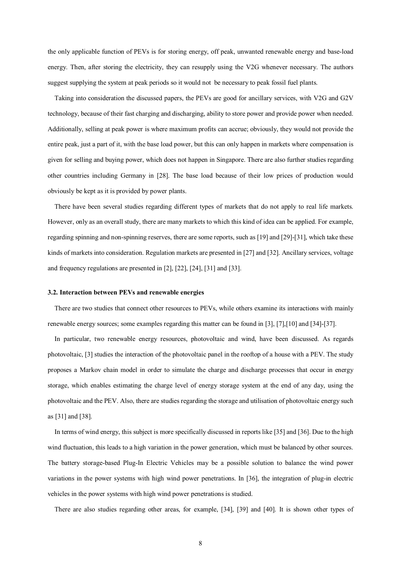the only applicable function of PEVs is for storing energy, off peak, unwanted renewable energy and base-load energy. Then, after storing the electricity, they can resupply using the V2G whenever necessary. The authors suggest supplying the system at peak periods so it would not be necessary to peak fossil fuel plants.

Taking into consideration the discussed papers, the PEVs are good for ancillary services, with V2G and G2V technology, because of their fast charging and discharging, ability to store power and provide power when needed. Additionally, selling at peak power is where maximum profits can accrue; obviously, they would not provide the entire peak, just a part of it, with the base load power, but this can only happen in markets where compensation is given for selling and buying power, which does not happen in Singapore. There are also further studies regarding other countries including Germany in [28]. The base load because of their low prices of production would obviously be kept as it is provided by power plants.

There have been several studies regarding different types of markets that do not apply to real life markets. However, only as an overall study, there are many markets to which this kind of idea can be applied. For example, regarding spinning and non-spinning reserves, there are some reports, such as [19] and [29]-[31], which take these kinds of markets into consideration. Regulation markets are presented in [27] and [32]. Ancillary services, voltage and frequency regulations are presented in [2], [22], [24], [31] and [33].

#### **3.2. Interaction between PEVs and renewable energies**

There are two studies that connect other resources to PEVs, while others examine its interactions with mainly renewable energy sources; some examples regarding this matter can be found in [3], [7],[10] and [34]-[37].

In particular, two renewable energy resources, photovoltaic and wind, have been discussed. As regards photovoltaic, [3] studies the interaction of the photovoltaic panel in the rooftop of a house with a PEV. The study proposes a Markov chain model in order to simulate the charge and discharge processes that occur in energy storage, which enables estimating the charge level of energy storage system at the end of any day, using the photovoltaic and the PEV. Also, there are studies regarding the storage and utilisation of photovoltaic energy such as [31] and [38].

In terms of wind energy, this subject is more specifically discussed in reports like [35] and [36]. Due to the high wind fluctuation, this leads to a high variation in the power generation, which must be balanced by other sources. The battery storage-based Plug-In Electric Vehicles may be a possible solution to balance the wind power variations in the power systems with high wind power penetrations. In [36], the integration of plug-in electric vehicles in the power systems with high wind power penetrations is studied.

There are also studies regarding other areas, for example, [34], [39] and [40]. It is shown other types of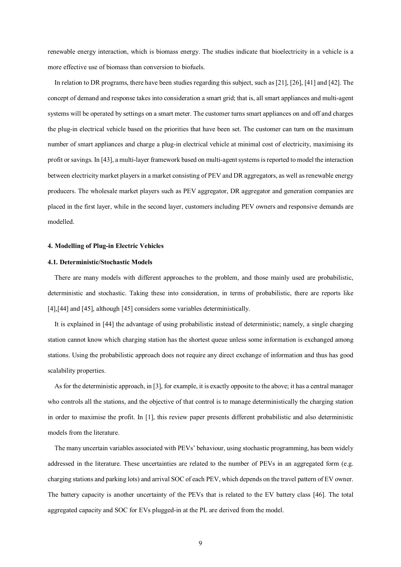renewable energy interaction, which is biomass energy. The studies indicate that bioelectricity in a vehicle is a more effective use of biomass than conversion to biofuels.

In relation to DR programs, there have been studies regarding this subject, such as [21], [26], [41] and [42]. The concept of demand and response takes into consideration a smart grid; that is, all smart appliances and multi-agent systems will be operated by settings on a smart meter. The customer turns smart appliances on and off and charges the plug-in electrical vehicle based on the priorities that have been set. The customer can turn on the maximum number of smart appliances and charge a plug-in electrical vehicle at minimal cost of electricity, maximising its profit or savings. In [43], a multi-layer framework based on multi-agent systems is reported to model the interaction between electricity market players in a market consisting of PEV and DR aggregators, as well as renewable energy producers. The wholesale market players such as PEV aggregator, DR aggregator and generation companies are placed in the first layer, while in the second layer, customers including PEV owners and responsive demands are modelled.

#### **4. Modelling of Plug-in Electric Vehicles**

# **4.1. Deterministic/Stochastic Models**

There are many models with different approaches to the problem, and those mainly used are probabilistic, deterministic and stochastic. Taking these into consideration, in terms of probabilistic, there are reports like [4], [44] and [45], although [45] considers some variables deterministically.

It is explained in [44] the advantage of using probabilistic instead of deterministic; namely, a single charging station cannot know which charging station has the shortest queue unless some information is exchanged among stations. Using the probabilistic approach does not require any direct exchange of information and thus has good scalability properties.

As for the deterministic approach, in [3], for example, it is exactly opposite to the above; it has a central manager who controls all the stations, and the objective of that control is to manage deterministically the charging station in order to maximise the profit. In [1], this review paper presents different probabilistic and also deterministic models from the literature.

The many uncertain variables associated with PEVs' behaviour, using stochastic programming, has been widely addressed in the literature. These uncertainties are related to the number of PEVs in an aggregated form (e.g. charging stations and parking lots) and arrival SOC of each PEV, which depends on the travel pattern of EV owner. The battery capacity is another uncertainty of the PEVs that is related to the EV battery class [46]. The total aggregated capacity and SOC for EVs plugged-in at the PL are derived from the model.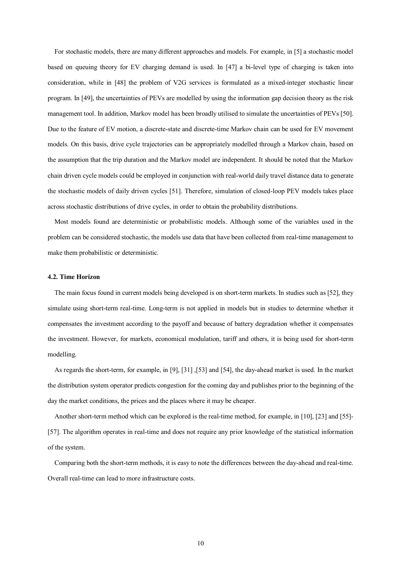For stochastic models, there are many different approaches and models. For example, in [5] a stochastic model based on queuing theory for EV charging demand is used. In [47] a bi-level type of charging is taken into consideration, while in [48] the problem of V2G services is formulated as a mixed-integer stochastic linear program. In [49], the uncertainties of PEVs are modelled by using the information gap decision theory as the risk management tool. In addition, Markov model has been broadly utilised to simulate the uncertainties of PEVs [50]. Due to the feature of EV motion, a discrete-state and discrete-time Markov chain can be used for EV movement models. On this basis, drive cycle trajectories can be appropriately modelled through a Markov chain, based on the assumption that the trip duration and the Markov model are independent. It should be noted that the Markov chain driven cycle models could be employed in conjunction with real-world daily travel distance data to generate the stochastic models of daily driven cycles [51]. Therefore, simulation of closed-loop PEV models takes place across stochastic distributions of drive cycles, in order to obtain the probability distributions.

Most models found are deterministic or probabilistic models. Although some of the variables used in the problem can be considered stochastic, the models use data that have been collected from real-time management to make them probabilistic or deterministic.

#### **4.2. Time Horizon**

The main focus found in current models being developed is on short-term markets. In studies such as [52], they simulate using short-term real-time. Long-term is not applied in models but in studies to determine whether it compensates the investment according to the payoff and because of battery degradation whether it compensates the investment. However, for markets, economical modulation, tariff and others, it is being used for short-term modelling.

As regards the short-term, for example, in [9], [31] ,[53] and [54], the day-ahead market is used. In the market the distribution system operator predicts congestion for the coming day and publishes prior to the beginning of the day the market conditions, the prices and the places where it may be cheaper.

Another short-term method which can be explored is the real-time method, for example, in [10], [23] and [55]- [57]. The algorithm operates in real-time and does not require any prior knowledge of the statistical information of the system.

Comparing both the short-term methods, it is easy to note the differences between the day-ahead and real-time. Overall real-time can lead to more infrastructure costs.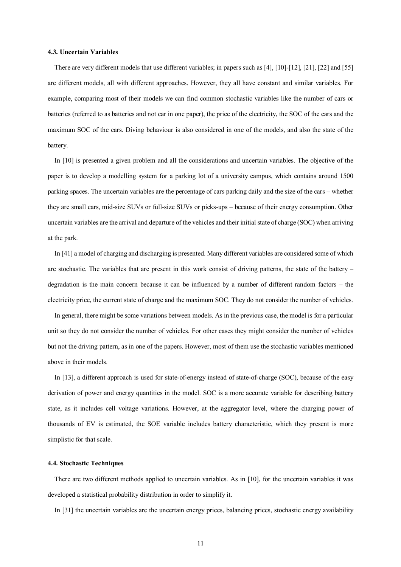## **4.3. Uncertain Variables**

There are very different models that use different variables; in papers such as [4], [10]-[12], [21], [22] and [55] are different models, all with different approaches. However, they all have constant and similar variables. For example, comparing most of their models we can find common stochastic variables like the number of cars or batteries (referred to as batteries and not car in one paper), the price of the electricity, the SOC of the cars and the maximum SOC of the cars. Diving behaviour is also considered in one of the models, and also the state of the battery.

In [10] is presented a given problem and all the considerations and uncertain variables. The objective of the paper is to develop a modelling system for a parking lot of a university campus, which contains around 1500 parking spaces. The uncertain variables are the percentage of cars parking daily and the size of the cars – whether they are small cars, mid-size SUVs or full-size SUVs or picks-ups – because of their energy consumption. Other uncertain variables are the arrival and departure of the vehicles and their initial state of charge (SOC) when arriving at the park.

In [41] a model of charging and discharging is presented. Many different variables are considered some of which are stochastic. The variables that are present in this work consist of driving patterns, the state of the battery – degradation is the main concern because it can be influenced by a number of different random factors – the electricity price, the current state of charge and the maximum SOC. They do not consider the number of vehicles.

In general, there might be some variations between models. As in the previous case, the model is for a particular unit so they do not consider the number of vehicles. For other cases they might consider the number of vehicles but not the driving pattern, as in one of the papers. However, most of them use the stochastic variables mentioned above in their models.

In [13], a different approach is used for state-of-energy instead of state-of-charge (SOC), because of the easy derivation of power and energy quantities in the model. SOC is a more accurate variable for describing battery state, as it includes cell voltage variations. However, at the aggregator level, where the charging power of thousands of EV is estimated, the SOE variable includes battery characteristic, which they present is more simplistic for that scale.

#### **4.4. Stochastic Techniques**

There are two different methods applied to uncertain variables. As in [10], for the uncertain variables it was developed a statistical probability distribution in order to simplify it.

In [31] the uncertain variables are the uncertain energy prices, balancing prices, stochastic energy availability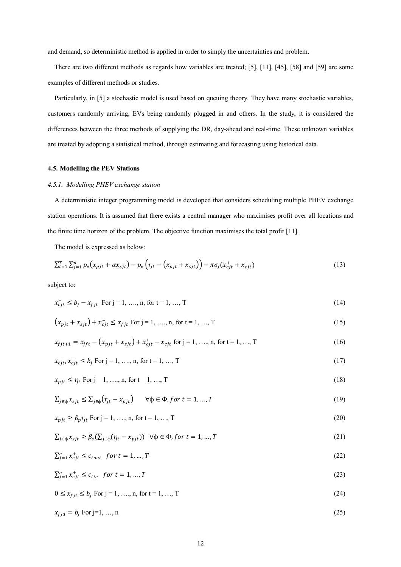and demand, so deterministic method is applied in order to simply the uncertainties and problem.

There are two different methods as regards how variables are treated; [5], [11], [45], [58] and [59] are some examples of different methods or studies.

Particularly, in [5] a stochastic model is used based on queuing theory. They have many stochastic variables, customers randomly arriving, EVs being randomly plugged in and others. In the study, it is considered the differences between the three methods of supplying the DR, day-ahead and real-time. These unknown variables are treated by adopting a statistical method, through estimating and forecasting using historical data.

# **4.5. Modelling the PEV Stations**

#### *4.5.1. Modelling PHEV exchange station*

A deterministic integer programming model is developed that considers scheduling multiple PHEV exchange station operations. It is assumed that there exists a central manager who maximises profit over all locations and the finite time horizon of the problem. The objective function maximises the total profit [11].

The model is expressed as below:

$$
\sum_{t=1}^{T} \sum_{j=1}^{n} p_e(x_{pjt} + \alpha x_{sjt}) - p_e(r_{jt} - (x_{pjt} + x_{sjt})) - \pi \sigma_j(x_{cjt}^+ + x_{cjt}^-)
$$
\n(13)

subject to:

$$
x_{cjt}^+ \le b_j - x_{fjt} \text{ For } j = 1, ..., n, \text{ for } t = 1, ..., T
$$
 (14)

$$
(x_{pjt} + x_{sjt}) + x_{cjt}^- \le x_{fjt} \text{ For } j = 1, ..., n, \text{ for } t = 1, ..., T
$$
 (15)

$$
x_{fjt+1} = x_{jft} - (x_{pjt} + x_{sjt}) + x_{cjt}^+ - x_{cjt}^- \text{ for } j = 1, ..., n, \text{ for } t = 1, ..., T
$$
 (16)

$$
x_{cjt}^+, x_{cjt}^- \le k_j \text{ For } j = 1, ..., n, \text{ for } t = 1, ..., T
$$
\n(17)

$$
x_{pjt} \le r_{jt} \text{ For } j = 1, \dots, n, \text{ for } t = 1, \dots, T
$$
\n(18)

$$
\sum_{j \in \phi} x_{sjt} \le \sum_{j \in \phi} (r_{jt} - x_{pjt}) \qquad \forall \phi \in \Phi, \text{for } t = 1, \dots, T
$$
\n(19)

$$
x_{pjt} \ge \beta_p r_{jt} \text{ For } j = 1, \dots, n, \text{ for } t = 1, \dots, T
$$
 (20)

$$
\sum_{j \in \phi} x_{sjt} \ge \beta_s (\sum_{j \in \phi} (r_{jt} - x_{pjt})) \quad \forall \phi \in \Phi, \text{for } t = 1, \dots, T
$$
\n<sup>(21)</sup>

$$
\sum_{j=1}^{n} x_{cjt}^{+} \le c_{tout} \text{ for } t = 1, ..., T
$$
\n(22)

$$
\sum_{j=1}^{n} x_{cjt}^{+} \le c_{tin} \quad \text{for } t = 1, \dots, T
$$
\n(23)

 $0 \le x_{fit} \le b_i$  For  $j = 1, ..., n$ , for  $t = 1, ..., T$  (24)

$$
x_{fj0} = b_j \text{ For } j=1, ..., n
$$
 (25)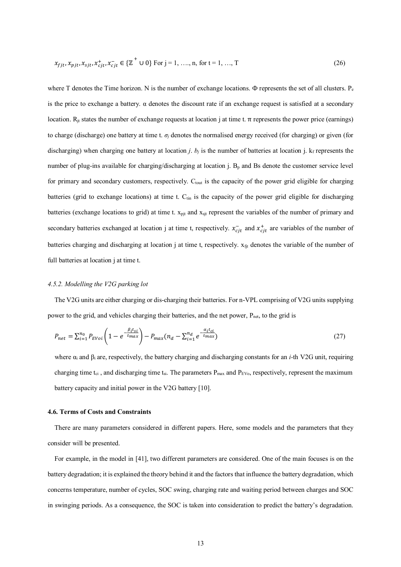$$
x_{fjt}, x_{pjt}, x_{sjt}, x_{cjt}^+, x_{cjt}^- \in \{ \mathbb{Z}^+ \cup 0 \} \text{ For } j = 1, ..., n, \text{ for } t = 1, ..., T
$$
 (26)

where T denotes the Time horizon. N is the number of exchange locations.  $\Phi$  represents the set of all clusters.  $P_e$ is the price to exchange a battery.  $\alpha$  denotes the discount rate if an exchange request is satisfied at a secondary location. R<sub>it</sub> states the number of exchange requests at location j at time t. π represents the power price (earnings) to charge (discharge) one battery at time t.  $\sigma_i$  denotes the normalised energy received (for charging) or given (for discharging) when charging one battery at location *j*.  $b_j$  is the number of batteries at location *j*.  $k_f$  represents the number of plug-ins available for charging/discharging at location j.  $B_p$  and Bs denote the customer service level for primary and secondary customers, respectively. C<sub>tout</sub> is the capacity of the power grid eligible for charging batteries (grid to exchange locations) at time t. C<sub>tin</sub> is the capacity of the power grid eligible for discharging batteries (exchange locations to grid) at time t.  $x<sub>pit</sub>$  and  $x<sub>sit</sub>$  represent the variables of the number of primary and secondary batteries exchanged at location j at time t, respectively.  $x_{cjt}^-$  and  $x_{cjt}^+$  are variables of the number of batteries charging and discharging at location j at time t, respectively.  $x_{\text{fit}}$  denotes the variable of the number of full batteries at location j at time t.

# *4.5.2. Modelling the V2G parking lot*

The V2G units are either charging or dis-charging their batteries. For n-VPL comprising of V2G units supplying power to the grid, and vehicles charging their batteries, and the net power,  $P_{net}$ , to the grid is

$$
P_{net} = \sum_{i=1}^{n_0} P_{EVoi} \left( 1 - e^{-\frac{\beta_i t_{si}}{t_{max}}} \right) - P_{max} (n_d - \sum_{i=1}^{n_d} e^{-\frac{\alpha_i t_{ci}}{t_{max}}} )
$$
(27)

where α<sup>i</sup> and β<sup>i</sup> are, respectively, the battery charging and discharging constants for an *i-*th V2G unit, requiring charging time t<sub>ci</sub>, and discharging time t<sub>si</sub>. The parameters  $P_{max}$  and  $P_{EV_0}$ , respectively, represent the maximum battery capacity and initial power in the V2G battery [10].

## **4.6. Terms of Costs and Constraints**

There are many parameters considered in different papers. Here, some models and the parameters that they consider will be presented.

For example, in the model in [41], two different parameters are considered. One of the main focuses is on the battery degradation; it is explained the theory behind it and the factors that influence the battery degradation, which concerns temperature, number of cycles, SOC swing, charging rate and waiting period between charges and SOC in swinging periods. As a consequence, the SOC is taken into consideration to predict the battery's degradation.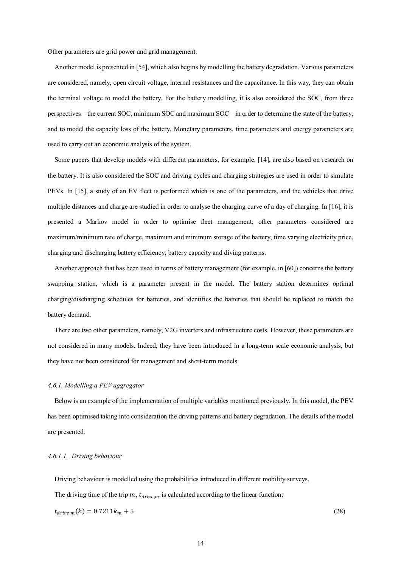Other parameters are grid power and grid management.

Another model is presented in [54], which also begins by modelling the battery degradation. Various parameters are considered, namely, open circuit voltage, internal resistances and the capacitance. In this way, they can obtain the terminal voltage to model the battery. For the battery modelling, it is also considered the SOC, from three perspectives – the current SOC, minimum SOC and maximum SOC – in order to determine the state of the battery, and to model the capacity loss of the battery. Monetary parameters, time parameters and energy parameters are used to carry out an economic analysis of the system.

Some papers that develop models with different parameters, for example, [14], are also based on research on the battery. It is also considered the SOC and driving cycles and charging strategies are used in order to simulate PEVs. In [15], a study of an EV fleet is performed which is one of the parameters, and the vehicles that drive multiple distances and charge are studied in order to analyse the charging curve of a day of charging. In [16], it is presented a Markov model in order to optimise fleet management; other parameters considered are maximum/minimum rate of charge, maximum and minimum storage of the battery, time varying electricity price, charging and discharging battery efficiency, battery capacity and diving patterns.

Another approach that has been used in terms of battery management (for example, in [60]) concerns the battery swapping station, which is a parameter present in the model. The battery station determines optimal charging/discharging schedules for batteries, and identifies the batteries that should be replaced to match the battery demand.

There are two other parameters, namely, V2G inverters and infrastructure costs. However, these parameters are not considered in many models. Indeed, they have been introduced in a long-term scale economic analysis, but they have not been considered for management and short-term models.

#### *4.6.1. Modelling a PEV aggregator*

Below is an example of the implementation of multiple variables mentioned previously. In this model, the PEV has been optimised taking into consideration the driving patterns and battery degradation. The details of the model are presented.

## *4.6.1.1. Driving behaviour*

Driving behaviour is modelled using the probabilities introduced in different mobility surveys.

The driving time of the trip  $m$ ,  $t_{drive}$  is calculated according to the linear function:

$$
t_{drive,m}(k) = 0.7211k_m + 5\tag{28}
$$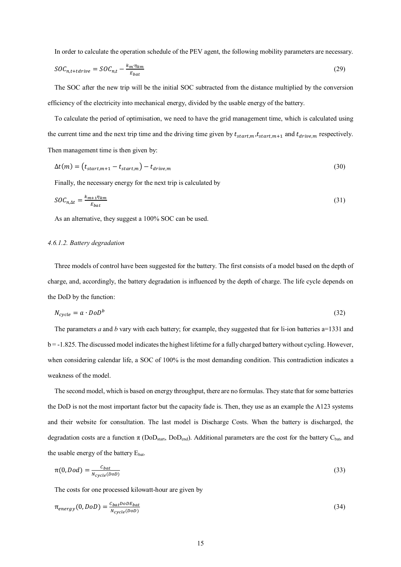In order to calculate the operation schedule of the PEV agent, the following mobility parameters are necessary.

$$
SOC_{n,t+tdrive} = SOC_{n,t} - \frac{k_m \eta_{km}}{E_{bat}} \tag{29}
$$

The SOC after the new trip will be the initial SOC subtracted from the distance multiplied by the conversion efficiency of the electricity into mechanical energy, divided by the usable energy of the battery.

To calculate the period of optimisation, we need to have the grid management time, which is calculated using the current time and the next trip time and the driving time given by  $t_{start,m}$ ,  $t_{start,m+1}$  and  $t_{drive,m}$  respectively. Then management time is then given by:

$$
\Delta t(m) = (t_{start,m+1} - t_{start,m}) - t_{drive,m} \tag{30}
$$

Finally, the necessary energy for the next trip is calculated by

$$
SOC_{n,\Delta t} = \frac{k_{m+1} \eta_{km}}{E_{bat}} \tag{31}
$$

As an alternative, they suggest a 100% SOC can be used.

# *4.6.1.2. Battery degradation*

Three models of control have been suggested for the battery. The first consists of a model based on the depth of charge, and, accordingly, the battery degradation is influenced by the depth of charge. The life cycle depends on the DoD by the function:

$$
N_{cycle} = a \cdot DoD^b \tag{32}
$$

The parameters *a* and *b* vary with each battery; for example, they suggested that for li-ion batteries a=1331 and b = -1.825. The discussed model indicates the highest lifetime for a fully charged battery without cycling. However, when considering calendar life, a SOC of 100% is the most demanding condition. This contradiction indicates a weakness of the model.

The second model, which is based on energy throughput, there are no formulas. They state that for some batteries the DoD is not the most important factor but the capacity fade is. Then, they use as an example the A123 systems and their website for consultation. The last model is Discharge Costs. When the battery is discharged, the degradation costs are a function  $\pi$  (DoD<sub>start</sub>, DoD<sub>end</sub>). Additional parameters are the cost for the battery C<sub>bat</sub>, and the usable energy of the battery Ebat.

$$
\pi(0, Dod) = \frac{c_{bat}}{N_{cycle}(D^{OD})}
$$
\n(33)

The costs for one processed kilowatt-hour are given by

$$
\pi_{energy}(0, DoD) = \frac{c_{bat}DoDE_{bat}}{N_{cycle}(DoD)}
$$
(34)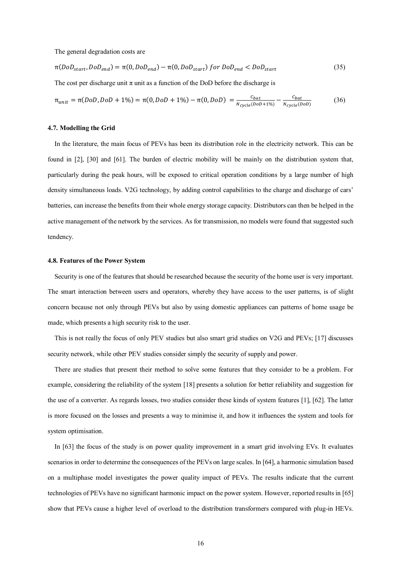The general degradation costs are

$$
\pi(DoD_{start}, DoD_{end}) = \pi(0, DoD_{end}) - \pi(0, DoD_{start}) \text{ for } DoD_{end} < DoD_{start} \tag{35}
$$

The cost per discharge unit  $\pi$  unit as a function of the DoD before the discharge is

$$
\pi_{unit} = \pi(DoD, DoD + 1\%) = \pi(0, DoD + 1\%) - \pi(0, DoD) = \frac{c_{bat}}{N_{cycle}(DoD + 1\%)} - \frac{c_{bat}}{N_{cycle}(DoD)}
$$
(36)

#### **4.7. Modelling the Grid**

In the literature, the main focus of PEVs has been its distribution role in the electricity network. This can be found in [2], [30] and [61]. The burden of electric mobility will be mainly on the distribution system that, particularly during the peak hours, will be exposed to critical operation conditions by a large number of high density simultaneous loads. V2G technology, by adding control capabilities to the charge and discharge of cars' batteries, can increase the benefits from their whole energy storage capacity. Distributors can then be helped in the active management of the network by the services. As for transmission, no models were found that suggested such tendency.

# **4.8. Features of the Power System**

Security is one of the features that should be researched because the security of the home user is very important. The smart interaction between users and operators, whereby they have access to the user patterns, is of slight concern because not only through PEVs but also by using domestic appliances can patterns of home usage be made, which presents a high security risk to the user.

This is not really the focus of only PEV studies but also smart grid studies on V2G and PEVs; [17] discusses security network, while other PEV studies consider simply the security of supply and power.

There are studies that present their method to solve some features that they consider to be a problem. For example, considering the reliability of the system [18] presents a solution for better reliability and suggestion for the use of a converter. As regards losses, two studies consider these kinds of system features [1], [62]. The latter is more focused on the losses and presents a way to minimise it, and how it influences the system and tools for system optimisation.

In [63] the focus of the study is on power quality improvement in a smart grid involving EVs. It evaluates scenarios in order to determine the consequences of the PEVs on large scales. In [64], a harmonic simulation based on a multiphase model investigates the power quality impact of PEVs. The results indicate that the current technologies of PEVs have no significant harmonic impact on the power system. However, reported results in [65] show that PEVs cause a higher level of overload to the distribution transformers compared with plug-in HEVs.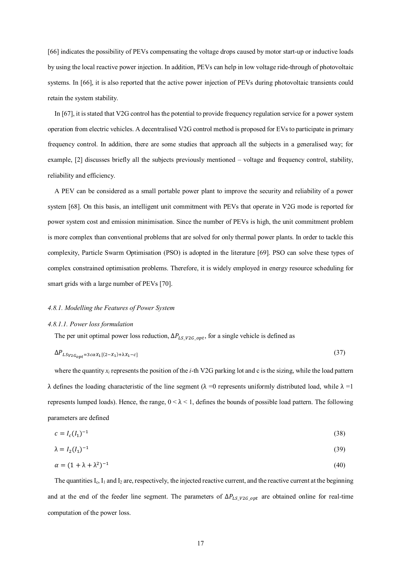[66] indicates the possibility of PEVs compensating the voltage drops caused by motor start-up or inductive loads by using the local reactive power injection. In addition, PEVs can help in low voltage ride-through of photovoltaic systems. In [66], it is also reported that the active power injection of PEVs during photovoltaic transients could retain the system stability.

In [67], it is stated that V2G control has the potential to provide frequency regulation service for a power system operation from electric vehicles. A decentralised V2G control method is proposed for EVs to participate in primary frequency control. In addition, there are some studies that approach all the subjects in a generalised way; for example, [2] discusses briefly all the subjects previously mentioned – voltage and frequency control, stability, reliability and efficiency.

A PEV can be considered as a small portable power plant to improve the security and reliability of a power system [68]. On this basis, an intelligent unit commitment with PEVs that operate in V2G mode is reported for power system cost and emission minimisation. Since the number of PEVs is high, the unit commitment problem is more complex than conventional problems that are solved for only thermal power plants. In order to tackle this complexity, Particle Swarm Optimisation (PSO) is adopted in the literature [69]. PSO can solve these types of complex constrained optimisation problems. Therefore, it is widely employed in energy resource scheduling for smart grids with a large number of PEVs [70].

#### *4.8.1. Modelling the Features of Power System*

#### *4.8.1.1. Power loss formulation*

The per unit optimal power loss reduction,  $\Delta P_{LS\ V2G\ opt}$ , for a single vehicle is defined as

$$
\Delta P_{LSV2G_{opt}} = 3c\alpha X_1[(2 - X_1) + \lambda X_1 - c] \tag{37}
$$

where the quantity  $x_i$  represents the position of the *i*-th V2G parking lot and c is the sizing, while the load pattern λ defines the loading characteristic of the line segment (λ =0 represents uniformly distributed load, while  $λ = 1$ represents lumped loads). Hence, the range,  $0 < \lambda < 1$ , defines the bounds of possible load pattern. The following parameters are defined

$$
c = I_c(I_1)^{-1}
$$
 (38)

$$
\lambda = I_2(I_1)^{-1} \tag{39}
$$

$$
\alpha = (1 + \lambda + \lambda^2)^{-1} \tag{40}
$$

The quantities  $I_c$ ,  $I_1$  and  $I_2$  are, respectively, the injected reactive current, and the reactive current at the beginning and at the end of the feeder line segment. The parameters of  $\Delta P_{LS\, V2G\, opt}$  are obtained online for real-time computation of the power loss.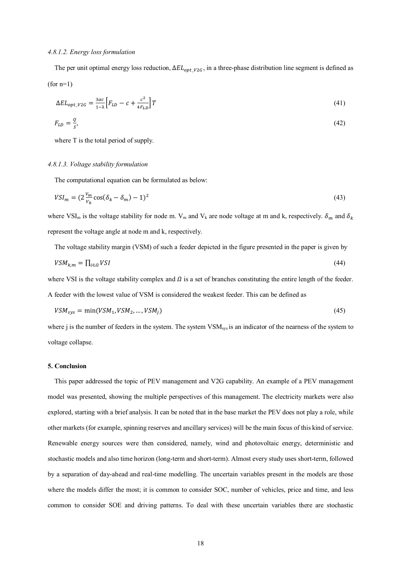#### *4.8.1.2. Energy loss formulation*

The per unit optimal energy loss reduction,  $\Delta EL_{opt\_V2G}$ , in a three-phase distribution line segment is defined as  $(for n=1)$ 

$$
\Delta EL_{opt\_V2G} = \frac{3ac}{1-\lambda} \Big[ F_{LD} - c + \frac{c^2}{4F_{LD}} \Big] T \tag{41}
$$

$$
F_{LD} = \frac{Q}{s},\tag{42}
$$

where T is the total period of supply.

#### *4.8.1.3. Voltage stability formulation*

The computational equation can be formulated as below:

$$
VSI_m = (2\frac{V_m}{V_k}\cos(\delta_k - \delta_m) - 1)^2
$$
\n(43)

where VSI<sub>m</sub> is the voltage stability for node m. V<sub>m</sub> and V<sub>k</sub> are node voltage at m and k, respectively.  $\delta_m$  and  $\delta_k$ represent the voltage angle at node m and k, respectively.

The voltage stability margin (VSM) of such a feeder depicted in the figure presented in the paper is given by

$$
VSM_{k,m} = \prod_{i \in \Omega} VSI \tag{44}
$$

where VSI is the voltage stability complex and  $\Omega$  is a set of branches constituting the entire length of the feeder.

A feeder with the lowest value of VSM is considered the weakest feeder. This can be defined as

$$
VSM_{sys} = \min(VSM_1, VSM_2, \dots, VSM_j) \tag{45}
$$

where j is the number of feeders in the system. The system VSM<sub>sys</sub> is an indicator of the nearness of the system to voltage collapse.

## **5. Conclusion**

This paper addressed the topic of PEV management and V2G capability. An example of a PEV management model was presented, showing the multiple perspectives of this management. The electricity markets were also explored, starting with a brief analysis. It can be noted that in the base market the PEV does not play a role, while other markets (for example, spinning reserves and ancillary services) will be the main focus of this kind of service. Renewable energy sources were then considered, namely, wind and photovoltaic energy, deterministic and stochastic models and also time horizon (long-term and short-term). Almost every study uses short-term, followed by a separation of day-ahead and real-time modelling. The uncertain variables present in the models are those where the models differ the most; it is common to consider SOC, number of vehicles, price and time, and less common to consider SOE and driving patterns. To deal with these uncertain variables there are stochastic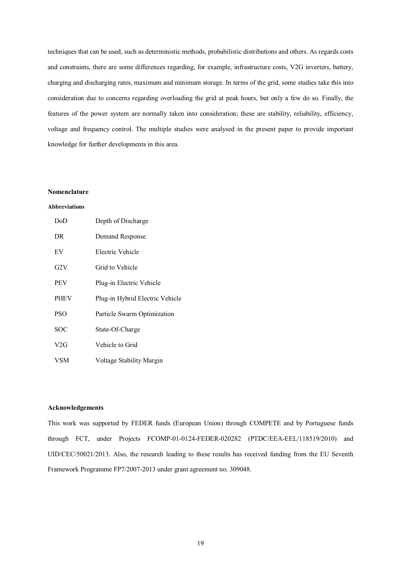techniques that can be used, such as deterministic methods, probabilistic distributions and others. As regards costs and constraints, there are some differences regarding, for example, infrastructure costs, V2G inverters, battery, charging and discharging rates, maximum and minimum storage. In terms of the grid, some studies take this into consideration due to concerns regarding overloading the grid at peak hours, but only a few do so. Finally, the features of the power system are normally taken into consideration; these are stability, reliability, efficiency, voltage and frequency control. The multiple studies were analysed in the present paper to provide important knowledge for further developments in this area.

# **Nomenclature**

# **Abbreviations**

| DoD         | Depth of Discharge              |
|-------------|---------------------------------|
| DR.         | Demand Response                 |
| EV          | Electric Vehicle                |
| G2V         | Grid to Vehicle                 |
| <b>PEV</b>  | Plug-in Electric Vehicle        |
| <b>PHEV</b> | Plug-in Hybrid Electric Vehicle |
| <b>PSO</b>  | Particle Swarm Optimization     |
| SOC         | State-Of-Charge                 |
| V2G         | Vehicle to Grid                 |
| VSM         | Voltage Stability Margin        |

#### **Acknowledgements**

This work was supported by FEDER funds (European Union) through COMPETE and by Portuguese funds through FCT, under Projects FCOMP-01-0124-FEDER-020282 (PTDC/EEA-EEL/118519/2010) and UID/CEC/50021/2013. Also, the research leading to these results has received funding from the EU Seventh Framework Programme FP7/2007-2013 under grant agreement no. 309048.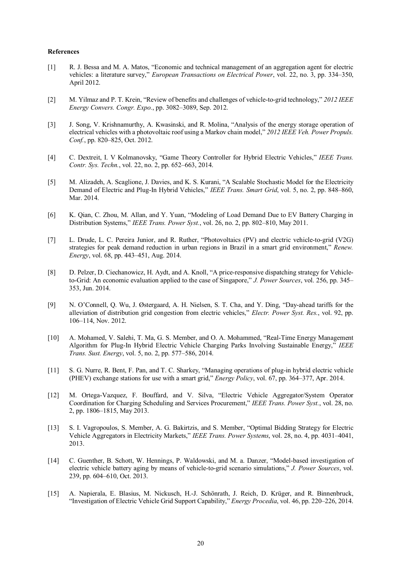## **References**

- [1] R. J. Bessa and M. A. Matos, "Economic and technical management of an aggregation agent for electric vehicles: a literature survey," *European Transactions on Electrical Power*, vol. 22, no. 3, pp. 334–350, April 2012.
- [2] M. Yilmaz and P. T. Krein, "Review of benefits and challenges of vehicle-to-grid technology," *2012 IEEE Energy Convers. Congr. Expo.*, pp. 3082–3089, Sep. 2012.
- [3] J. Song, V. Krishnamurthy, A. Kwasinski, and R. Molina, "Analysis of the energy storage operation of electrical vehicles with a photovoltaic roof using a Markov chain model," *2012 IEEE Veh. Power Propuls. Conf.*, pp. 820–825, Oct. 2012.
- [4] C. Dextreit, I. V Kolmanovsky, "Game Theory Controller for Hybrid Electric Vehicles," *IEEE Trans. Contr. Sys. Techn.*, vol. 22, no. 2, pp. 652–663, 2014.
- [5] M. Alizadeh, A. Scaglione, J. Davies, and K. S. Kurani, "A Scalable Stochastic Model for the Electricity Demand of Electric and Plug-In Hybrid Vehicles," *IEEE Trans. Smart Grid*, vol. 5, no. 2, pp. 848–860, Mar. 2014.
- [6] K. Qian, C. Zhou, M. Allan, and Y. Yuan, "Modeling of Load Demand Due to EV Battery Charging in Distribution Systems," *IEEE Trans. Power Syst.*, vol. 26, no. 2, pp. 802–810, May 2011.
- [7] L. Drude, L. C. Pereira Junior, and R. Ruther, "Photovoltaics (PV) and electric vehicle-to-grid (V2G) strategies for peak demand reduction in urban regions in Brazil in a smart grid environment," *Renew. Energy*, vol. 68, pp. 443–451, Aug. 2014.
- [8] D. Pelzer, D. Ciechanowicz, H. Aydt, and A. Knoll, "A price-responsive dispatching strategy for Vehicleto-Grid: An economic evaluation applied to the case of Singapore," *J. Power Sources*, vol. 256, pp. 345– 353, Jun. 2014.
- [9] N. O'Connell, Q. Wu, J. Østergaard, A. H. Nielsen, S. T. Cha, and Y. Ding, "Day-ahead tariffs for the alleviation of distribution grid congestion from electric vehicles," *Electr. Power Syst. Res.*, vol. 92, pp. 106–114, Nov. 2012.
- [10] A. Mohamed, V. Salehi, T. Ma, G. S. Member, and O. A. Mohammed, "Real-Time Energy Management Algorithm for Plug-In Hybrid Electric Vehicle Charging Parks Involving Sustainable Energy," *IEEE Trans. Sust. Energy*, vol. 5, no. 2, pp. 577–586, 2014.
- [11] S. G. Nurre, R. Bent, F. Pan, and T. C. Sharkey, "Managing operations of plug-in hybrid electric vehicle (PHEV) exchange stations for use with a smart grid," *Energy Policy*, vol. 67, pp. 364–377, Apr. 2014.
- [12] M. Ortega-Vazquez, F. Bouffard, and V. Silva, "Electric Vehicle Aggregator/System Operator Coordination for Charging Scheduling and Services Procurement," *IEEE Trans. Power Syst.*, vol. 28, no. 2, pp. 1806–1815, May 2013.
- [13] S. I. Vagropoulos, S. Member, A. G. Bakirtzis, and S. Member, "Optimal Bidding Strategy for Electric Vehicle Aggregators in Electricity Markets," *IEEE Trans. Power Systems*, vol. 28, no. 4, pp. 4031–4041, 2013.
- [14] C. Guenther, B. Schott, W. Hennings, P. Waldowski, and M. a. Danzer, "Model-based investigation of electric vehicle battery aging by means of vehicle-to-grid scenario simulations," *J. Power Sources*, vol. 239, pp. 604–610, Oct. 2013.
- [15] A. Napierala, E. Blasius, M. Nickusch, H.-J. Schönrath, J. Reich, D. Krüger, and R. Binnenbruck, "Investigation of Electric Vehicle Grid Support Capability," *Energy Procedia*, vol. 46, pp. 220–226, 2014.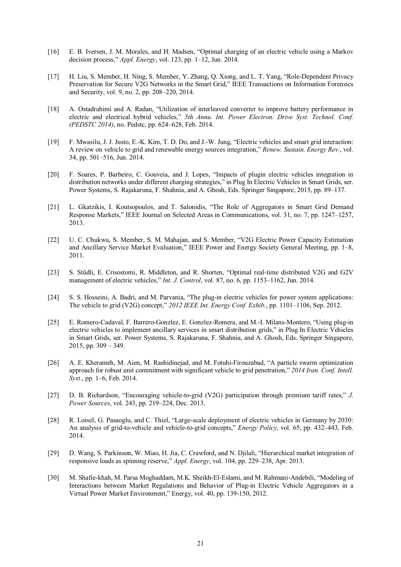- [16] E. B. Iversen, J. M. Morales, and H. Madsen, "Optimal charging of an electric vehicle using a Markov decision process," *Appl. Energy*, vol. 123, pp. 1–12, Jun. 2014.
- [17] H. Liu, S. Member, H. Ning, S. Member, Y. Zhang, Q. Xiong, and L. T. Yang, "Role-Dependent Privacy Preservation for Secure V2G Networks in the Smart Grid," IEEE Transactions on Information Forensics and Security, vol. 9, no. 2, pp. 208–220, 2014.
- [18] A. Ostadrahimi and A. Radan, "Utilization of interleaved converter to improve battery performance in electric and electrical hybrid vehicles," *5th Annu. Int. Power Electron. Drive Syst. Technol. Conf. (PEDSTC 2014)*, no. Pedstc, pp. 624–628, Feb. 2014.
- [19] F. Mwasilu, J. J. Justo, E.-K. Kim, T. D. Do, and J.-W. Jung, "Electric vehicles and smart grid interaction: A review on vehicle to grid and renewable energy sources integration," *Renew. Sustain. Energy Rev.*, vol. 34, pp. 501–516, Jun. 2014.
- [20] F. Soares, P. Barbeiro, C. Gouveia, and J. Lopes, "Impacts of plugin electric vehicles integration in distribution networks under different charging strategies," in Plug In Electric Vehicles in Smart Grids, ser. Power Systems, S. Rajakaruna, F. Shahnia, and A. Ghosh, Eds. Springer Singapore, 2015, pp. 89–137.
- [21] L. Gkatzikis, I. Koutsopoulos, and T. Salonidis, "The Role of Aggregators in Smart Grid Demand Response Markets," IEEE Journal on Selected Areas in Communications, vol. 31, no. 7, pp. 1247–1257, 2013.
- [22] U. C. Chukwu, S. Member, S. M. Mahajan, and S. Member, "V2G Electric Power Capacity Estimation and Ancillary Service Market Evaluation," IEEE Power and Energy Society General Meeting, pp. 1–8, 2011.
- [23] S. Stüdli, E. Crisostomi, R. Middleton, and R. Shorten, "Optimal real-time distributed V2G and G2V management of electric vehicles," *Int. J. Control*, vol. 87, no. 6, pp. 1153–1162, Jun. 2014.
- [24] S. S. Hosseini, A. Badri, and M. Parvania, "The plug-in electric vehicles for power system applications: The vehicle to grid (V2G) concept," *2012 IEEE Int. Energy Conf. Exhib.*, pp. 1101–1106, Sep. 2012.
- [25] E. Romero-Cadaval, F. Barrero-Gonzlez, E. Gonzlez-Romera, and M.-I. Milans-Montero, "Using plug-in electric vehicles to implement ancillary services in smart distribution grids," in Plug In Electric Vehicles in Smart Grids, ser. Power Systems, S. Rajakaruna, F. Shahnia, and A. Ghosh, Eds. Springer Singapore, 2015, pp. 309 – 349.
- [26] A. E. Kherameh, M. Aien, M. Rashidinejad, and M. Fotuhi-Firouzabad, "A particle swarm optimization approach for robust unit commitment with significant vehicle to grid penetration," *2014 Iran. Conf. Intell. Syst.*, pp. 1–6, Feb. 2014.
- [27] D. B. Richardson, "Encouraging vehicle-to-grid (V2G) participation through premium tariff rates," *J. Power Sources*, vol. 243, pp. 219–224, Dec. 2013.
- [28] R. Loisel, G. Pasaoglu, and C. Thiel, "Large-scale deployment of electric vehicles in Germany by 2030: An analysis of grid-to-vehicle and vehicle-to-grid concepts," *Energy Policy*, vol. 65, pp. 432–443, Feb. 2014.
- [29] D. Wang, S. Parkinson, W. Miao, H. Jia, C. Crawford, and N. Djilali, "Hierarchical market integration of responsive loads as spinning reserve," *Appl. Energy*, vol. 104, pp. 229–238, Apr. 2013.
- [30] M. Shafie-khah, M. Parsa Moghaddam, M.K. Sheikh-El-Eslami, and M. Rahmani-Andebili, "Modeling of Interactions between Market Regulations and Behavior of Plug-in Electric Vehicle Aggregators in a Virtual Power Market Environment," Energy, vol. 40, pp. 139-150, 2012.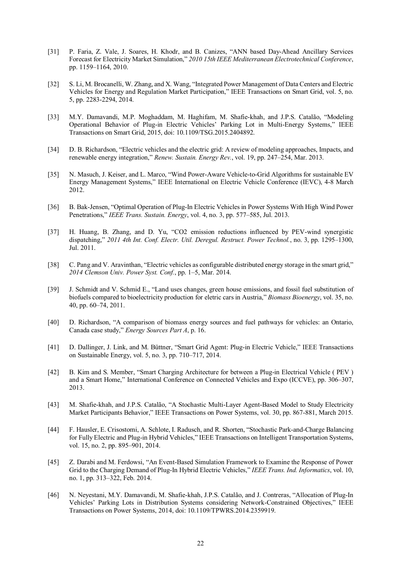- [31] P. Faria, Z. Vale, J. Soares, H. Khodr, and B. Canizes, "ANN based Day-Ahead Ancillary Services Forecast for Electricity Market Simulation," *2010 15th IEEE Mediterranean Electrotechnical Conference*, pp. 1159–1164, 2010.
- [32] S. Li, M. Brocanelli, W. Zhang, and X. Wang, "Integrated Power Management of Data Centers and Electric Vehicles for Energy and Regulation Market Participation," IEEE Transactions on Smart Grid, vol. 5, no. 5, pp. 2283-2294, 2014.
- [33] M.Y. Damavandi, M.P. Moghaddam, M. Haghifam, M. Shafie-khah, and J.P.S. Catalão, "Modeling Operational Behavior of Plug-in Electric Vehicles' Parking Lot in Multi-Energy Systems," IEEE Transactions on Smart Grid, 2015, doi: 10.1109/TSG.2015.2404892.
- [34] D. B. Richardson, "Electric vehicles and the electric grid: A review of modeling approaches, Impacts, and renewable energy integration," *Renew. Sustain. Energy Rev.*, vol. 19, pp. 247–254, Mar. 2013.
- [35] N. Masuch, J. Keiser, and L. Marco, "Wind Power-Aware Vehicle-to-Grid Algorithms for sustainable EV Energy Management Systems," IEEE International on Electric Vehicle Conference (IEVC), 4-8 March 2012.
- [36] B. Bak-Jensen, "Optimal Operation of Plug-In Electric Vehicles in Power Systems With High Wind Power Penetrations," *IEEE Trans. Sustain. Energy*, vol. 4, no. 3, pp. 577–585, Jul. 2013.
- [37] H. Huang, B. Zhang, and D. Yu, "CO2 emission reductions influenced by PEV-wind synergistic dispatching," *2011 4th Int. Conf. Electr. Util. Deregul. Restruct. Power Technol.*, no. 3, pp. 1295–1300, Jul. 2011.
- [38] C. Pang and V. Aravinthan, "Electric vehicles as configurable distributed energy storage in the smart grid," *2014 Clemson Univ. Power Syst. Conf.*, pp. 1–5, Mar. 2014.
- [39] J. Schmidt and V. Schmid E., "Land uses changes, green house emissions, and fossil fuel substitution of biofuels compared to bioelectricity production for eletric cars in Austria," *Biomass Bioenergy*, vol. 35, no. 40, pp. 60–74, 2011.
- [40] D. Richardson, "A comparison of biomass energy sources and fuel pathways for vehicles: an Ontario, Canada case study," *Energy Sources Part A*, p. 16.
- [41] D. Dallinger, J. Link, and M. Büttner, "Smart Grid Agent: Plug-in Electric Vehicle," IEEE Transactions on Sustainable Energy, vol. 5, no. 3, pp. 710–717, 2014.
- [42] B. Kim and S. Member, "Smart Charging Architecture for between a Plug-in Electrical Vehicle ( PEV ) and a Smart Home," International Conference on Connected Vehicles and Expo (ICCVE), pp. 306–307, 2013.
- [43] M. Shafie-khah, and J.P.S. Catalão, "A Stochastic Multi-Layer Agent-Based Model to Study Electricity Market Participants Behavior," IEEE Transactions on Power Systems, vol. 30, pp. 867-881, March 2015.
- [44] F. Hausler, E. Crisostomi, A. Schlote, I. Radusch, and R. Shorten, "Stochastic Park-and-Charge Balancing for Fully Electric and Plug-in Hybrid Vehicles," IEEE Transactions on Intelligent Transportation Systems, vol. 15, no. 2, pp. 895–901, 2014.
- [45] Z. Darabi and M. Ferdowsi, "An Event-Based Simulation Framework to Examine the Response of Power Grid to the Charging Demand of Plug-In Hybrid Electric Vehicles," *IEEE Trans. Ind. Informatics*, vol. 10, no. 1, pp. 313–322, Feb. 2014.
- [46] N. Neyestani, M.Y. Damavandi, M. Shafie-khah, J.P.S. Catalão, and J. Contreras, "Allocation of Plug-In Vehicles' Parking Lots in Distribution Systems considering Network-Constrained Objectives," IEEE Transactions on Power Systems, 2014, doi: 10.1109/TPWRS.2014.2359919.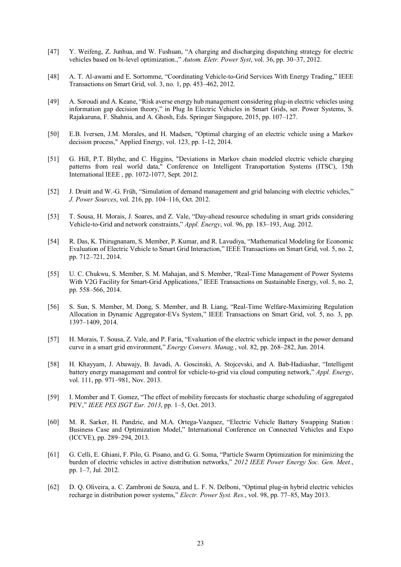- [47] Y. Weifeng, Z. Junhua, and W. Fushuan, "A charging and discharging dispatching strategy for electric vehicles based on bi-level optimization.," *Autom. Eletr. Power Syst*, vol. 36, pp. 30–37, 2012.
- [48] A. T. Al-awami and E. Sortomme, "Coordinating Vehicle-to-Grid Services With Energy Trading," IEEE Transactions on Smart Grid, vol. 3, no. 1, pp. 453–462, 2012.
- [49] A. Soroudi and A. Keane, "Risk averse energy hub management considering plug-in electric vehicles using information gap decision theory," in Plug In Electric Vehicles in Smart Grids, ser. Power Systems, S. Rajakaruna, F. Shahnia, and A. Ghosh, Eds. Springer Singapore, 2015, pp. 107–127.
- [50] E.B. Iversen, J.M. Morales, and H. Madsen, "Optimal charging of an electric vehicle using a Markov decision process," Applied Energy, vol. 123, pp. 1-12, 2014.
- [51] G. Hill, P.T. Blythe, and C. Higgins, "Deviations in Markov chain modeled electric vehicle charging patterns from real world data," Conference on Intelligent Transportation Systems (ITSC), 15th International IEEE , pp. 1072-1077, Sept. 2012.
- [52] J. Druitt and W.-G. Früh, "Simulation of demand management and grid balancing with electric vehicles," *J. Power Sources*, vol. 216, pp. 104–116, Oct. 2012.
- [53] T. Sousa, H. Morais, J. Soares, and Z. Vale, "Day-ahead resource scheduling in smart grids considering Vehicle-to-Grid and network constraints," *Appl. Energy*, vol. 96, pp. 183–193, Aug. 2012.
- [54] R. Das, K. Thirugnanam, S. Member, P. Kumar, and R. Lavudiya, "Mathematical Modeling for Economic Evaluation of Electric Vehicle to Smart Grid Interaction," IEEE Transactions on Smart Grid, vol. 5, no. 2, pp. 712–721, 2014.
- [55] U. C. Chukwu, S. Member, S. M. Mahajan, and S. Member, "Real-Time Management of Power Systems With V2G Facility for Smart-Grid Applications," IEEE Transactions on Sustainable Energy, vol. 5, no. 2, pp. 558–566, 2014.
- [56] S. Sun, S. Member, M. Dong, S. Member, and B. Liang, "Real-Time Welfare-Maximizing Regulation Allocation in Dynamic Aggregator-EVs System," IEEE Transactions on Smart Grid, vol. 5, no. 3, pp. 1397–1409, 2014.
- [57] H. Morais, T. Sousa, Z. Vale, and P. Faria, "Evaluation of the electric vehicle impact in the power demand curve in a smart grid environment," *Energy Convers. Manag.*, vol. 82, pp. 268–282, Jun. 2014.
- [58] H. Khayyam, J. Abawajy, B. Javadi, A. Goscinski, A. Stojcevski, and A. Bab-Hadiashar, "Intelligent battery energy management and control for vehicle-to-grid via cloud computing network," *Appl. Energy*, vol. 111, pp. 971–981, Nov. 2013.
- [59] I. Momber and T. Gomez, "The effect of mobility forecasts for stochastic charge scheduling of aggregated PEV," *IEEE PES ISGT Eur. 2013*, pp. 1–5, Oct. 2013.
- [60] M. R. Sarker, H. Pandzic, and M.A. Ortega-Vazquez, "Electric Vehicle Battery Swapping Station : Business Case and Optimization Model," International Conference on Connected Vehicles and Expo (ICCVE), pp. 289–294, 2013.
- [61] G. Celli, E. Ghiani, F. Pilo, G. Pisano, and G. G. Soma, "Particle Swarm Optimization for minimizing the burden of electric vehicles in active distribution networks," *2012 IEEE Power Energy Soc. Gen. Meet.*, pp. 1–7, Jul. 2012.
- [62] D. Q. Oliveira, a. C. Zambroni de Souza, and L. F. N. Delboni, "Optimal plug-in hybrid electric vehicles recharge in distribution power systems," *Electr. Power Syst. Res.*, vol. 98, pp. 77–85, May 2013.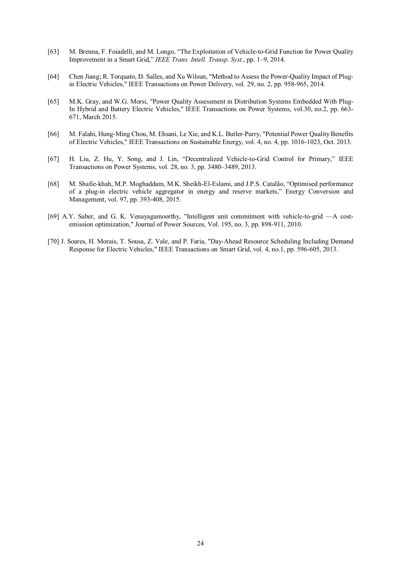- [63] M. Brenna, F. Foiadelli, and M. Longo, "The Exploitation of Vehicle-to-Grid Function for Power Quality Improvement in a Smart Grid," *IEEE Trans. Intell. Transp. Syst.*, pp. 1–9, 2014.
- [64] Chen Jiang; R. Torquato, D. Salles, and Xu Wilsun, "Method to Assess the Power-Quality Impact of Plugin Electric Vehicles," IEEE Transactions on Power Delivery, vol. 29, no. 2, pp. 958-965, 2014.
- [65] M.K. Gray, and W.G. Morsi, "Power Quality Assessment in Distribution Systems Embedded With Plug-In Hybrid and Battery Electric Vehicles," IEEE Transactions on Power Systems, vol.30, no.2, pp. 663- 671, March 2015.
- [66] M. Falahi, Hung-Ming Chou, M. Ehsani, Le Xie, and K.L. Butler-Purry, "Potential Power Quality Benefits of Electric Vehicles," IEEE Transactions on Sustainable Energy, vol. 4, no. 4, pp. 1016-1023, Oct. 2013.
- [67] H. Liu, Z. Hu, Y. Song, and J. Lin, "Decentralized Vehicle-to-Grid Control for Primary," IEEE Transactions on Power Systems, vol. 28, no. 3, pp. 3480–3489, 2013.
- [68] M. Shafie-khah, M.P. Moghaddam, M.K. Sheikh-El-Eslami, and J.P.S. Catalão, "Optimised performance of a plug-in electric vehicle aggregator in energy and reserve markets," Energy Conversion and Management, vol. 97, pp. 393-408, 2015.
- [69] A.Y. Saber, and G. K. Venayagamoorthy, "Intelligent unit commitment with vehicle-to-grid —A costemission optimization," Journal of Power Sources, Vol. 195, no. 3, pp. 898-911, 2010.
- [70] J. Soares, H. Morais, T. Sousa, Z. Vale, and P. Faria, "Day-Ahead Resource Scheduling Including Demand Response for Electric Vehicles," IEEE Transactions on Smart Grid, vol. 4, no.1, pp. 596-605, 2013.